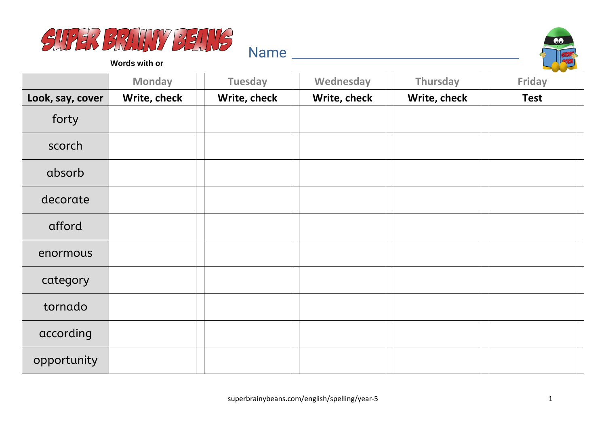



**Words with or**

|                  | <b>Monday</b> | <b>Tuesday</b> | Wednesday    | Thursday     | Friday      |
|------------------|---------------|----------------|--------------|--------------|-------------|
| Look, say, cover | Write, check  | Write, check   | Write, check | Write, check | <b>Test</b> |
| forty            |               |                |              |              |             |
| scorch           |               |                |              |              |             |
| absorb           |               |                |              |              |             |
| decorate         |               |                |              |              |             |
| afford           |               |                |              |              |             |
| enormous         |               |                |              |              |             |
| category         |               |                |              |              |             |
| tornado          |               |                |              |              |             |
| according        |               |                |              |              |             |
| opportunity      |               |                |              |              |             |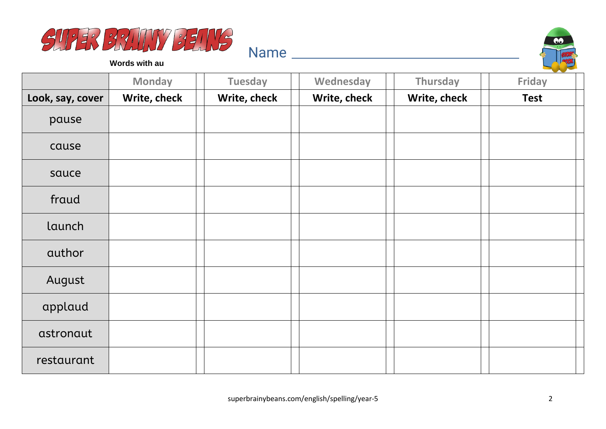



**Words with au**

|                  | <b>Monday</b> | <b>Tuesday</b> | Wednesday    | Thursday     | <b>Friday</b> |
|------------------|---------------|----------------|--------------|--------------|---------------|
| Look, say, cover | Write, check  | Write, check   | Write, check | Write, check | <b>Test</b>   |
| pause            |               |                |              |              |               |
| cause            |               |                |              |              |               |
| sauce            |               |                |              |              |               |
| fraud            |               |                |              |              |               |
| launch           |               |                |              |              |               |
| author           |               |                |              |              |               |
| August           |               |                |              |              |               |
| applaud          |               |                |              |              |               |
| astronaut        |               |                |              |              |               |
| restaurant       |               |                |              |              |               |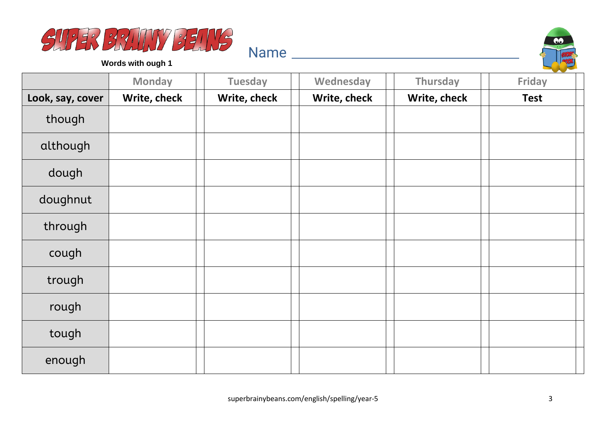



**Words with ough 1**

|                  | <b>Monday</b> | <b>Tuesday</b> | Wednesday    | Thursday     | Friday      |
|------------------|---------------|----------------|--------------|--------------|-------------|
| Look, say, cover | Write, check  | Write, check   | Write, check | Write, check | <b>Test</b> |
| though           |               |                |              |              |             |
| although         |               |                |              |              |             |
| dough            |               |                |              |              |             |
| doughnut         |               |                |              |              |             |
| through          |               |                |              |              |             |
| cough            |               |                |              |              |             |
| trough           |               |                |              |              |             |
| rough            |               |                |              |              |             |
| tough            |               |                |              |              |             |
| enough           |               |                |              |              |             |

Name and the second state of the second state of the second state  $\sim$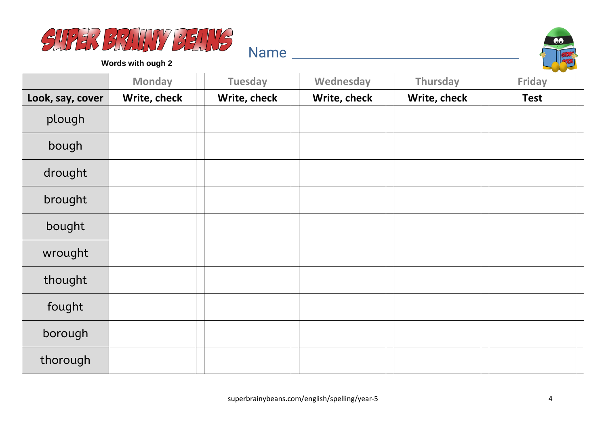



**Words with ough 2**

|                  | <b>Monday</b> | <b>Tuesday</b> | Wednesday    | Thursday     | <b>Contract Contract Contract Contract</b><br>Friday |
|------------------|---------------|----------------|--------------|--------------|------------------------------------------------------|
| Look, say, cover | Write, check  | Write, check   | Write, check | Write, check | <b>Test</b>                                          |
| plough           |               |                |              |              |                                                      |
| bough            |               |                |              |              |                                                      |
| drought          |               |                |              |              |                                                      |
| brought          |               |                |              |              |                                                      |
| bought           |               |                |              |              |                                                      |
| wrought          |               |                |              |              |                                                      |
| thought          |               |                |              |              |                                                      |
| fought           |               |                |              |              |                                                      |
| borough          |               |                |              |              |                                                      |
| thorough         |               |                |              |              |                                                      |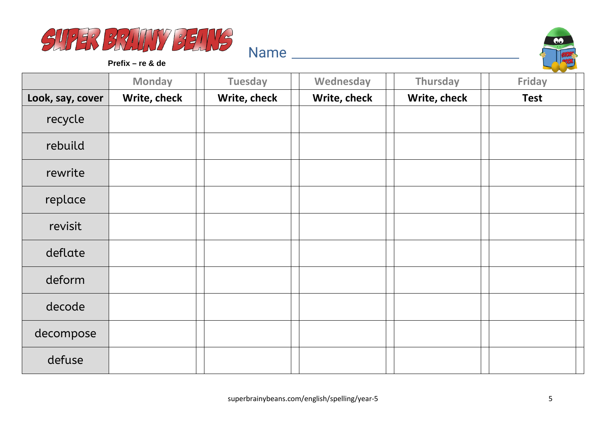



**Prefix – re & de**

|                  | <b>Monday</b> | <b>Tuesday</b> | Wednesday    | Thursday     | <b>Friday</b> |
|------------------|---------------|----------------|--------------|--------------|---------------|
| Look, say, cover | Write, check  | Write, check   | Write, check | Write, check | <b>Test</b>   |
| recycle          |               |                |              |              |               |
| rebuild          |               |                |              |              |               |
| rewrite          |               |                |              |              |               |
| replace          |               |                |              |              |               |
| revisit          |               |                |              |              |               |
| deflate          |               |                |              |              |               |
| deform           |               |                |              |              |               |
| decode           |               |                |              |              |               |
| decompose        |               |                |              |              |               |
| defuse           |               |                |              |              |               |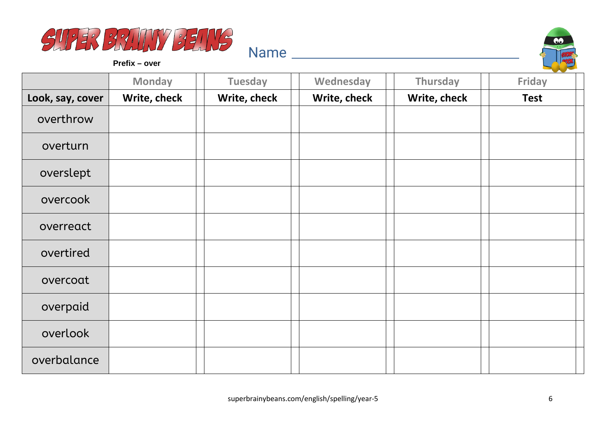



**Prefix – over**

|                  | <b>Monday</b> | <b>Tuesday</b> | Wednesday    | Thursday     | --<br><b>Friday</b> |
|------------------|---------------|----------------|--------------|--------------|---------------------|
| Look, say, cover | Write, check  | Write, check   | Write, check | Write, check | <b>Test</b>         |
| overthrow        |               |                |              |              |                     |
| overturn         |               |                |              |              |                     |
| overslept        |               |                |              |              |                     |
| overcook         |               |                |              |              |                     |
| overreact        |               |                |              |              |                     |
| overtired        |               |                |              |              |                     |
| overcoat         |               |                |              |              |                     |
| overpaid         |               |                |              |              |                     |
| overlook         |               |                |              |              |                     |
| overbalance      |               |                |              |              |                     |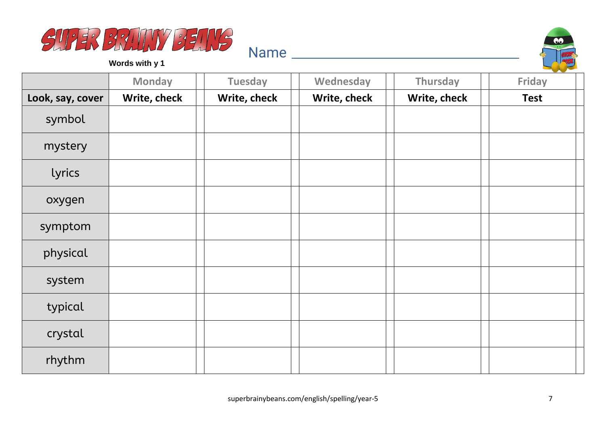



**Words with y 1**

|                  | <b>Monday</b> | <b>Tuesday</b> | Wednesday    | Thursday     | <b>Friday</b> |
|------------------|---------------|----------------|--------------|--------------|---------------|
| Look, say, cover | Write, check  | Write, check   | Write, check | Write, check | <b>Test</b>   |
| symbol           |               |                |              |              |               |
| mystery          |               |                |              |              |               |
| lyrics           |               |                |              |              |               |
| oxygen           |               |                |              |              |               |
| symptom          |               |                |              |              |               |
| physical         |               |                |              |              |               |
| system           |               |                |              |              |               |
| typical          |               |                |              |              |               |
| crystal          |               |                |              |              |               |
| rhythm           |               |                |              |              |               |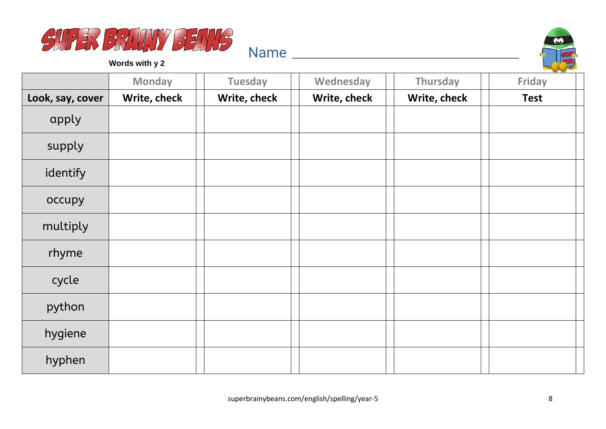



**Words with y 2**

|                  | <b>Monday</b> | <b>Tuesday</b> | Wednesday    | Thursday     | <b>Friday</b> |
|------------------|---------------|----------------|--------------|--------------|---------------|
| Look, say, cover | Write, check  | Write, check   | Write, check | Write, check | <b>Test</b>   |
| apply            |               |                |              |              |               |
| supply           |               |                |              |              |               |
| identify         |               |                |              |              |               |
| occupy           |               |                |              |              |               |
| multiply         |               |                |              |              |               |
| rhyme            |               |                |              |              |               |
| cycle            |               |                |              |              |               |
| python           |               |                |              |              |               |
| hygiene          |               |                |              |              |               |
| hyphen           |               |                |              |              |               |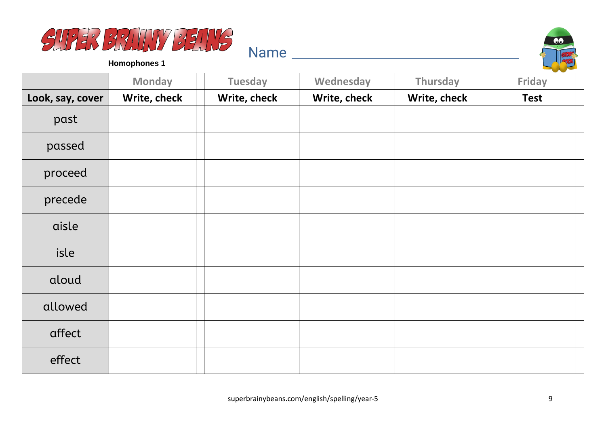



|                  | <b>Monday</b> | <b>Tuesday</b> | Wednesday    | Thursday     | <b>Friday</b> |
|------------------|---------------|----------------|--------------|--------------|---------------|
| Look, say, cover | Write, check  | Write, check   | Write, check | Write, check | <b>Test</b>   |
| past             |               |                |              |              |               |
| passed           |               |                |              |              |               |
| proceed          |               |                |              |              |               |
| precede          |               |                |              |              |               |
| aisle            |               |                |              |              |               |
| isle             |               |                |              |              |               |
| aloud            |               |                |              |              |               |
| allowed          |               |                |              |              |               |
| affect           |               |                |              |              |               |
| effect           |               |                |              |              |               |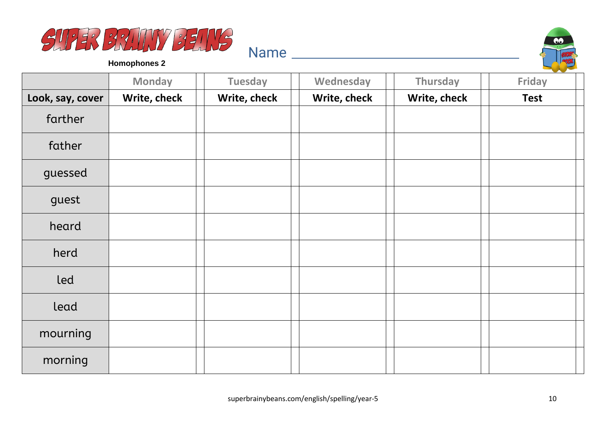



|                  | <b>Monday</b> | <b>Tuesday</b> | Wednesday    | Thursday     | Friday      |
|------------------|---------------|----------------|--------------|--------------|-------------|
| Look, say, cover | Write, check  | Write, check   | Write, check | Write, check | <b>Test</b> |
| farther          |               |                |              |              |             |
| father           |               |                |              |              |             |
| guessed          |               |                |              |              |             |
| guest            |               |                |              |              |             |
| heard            |               |                |              |              |             |
| herd             |               |                |              |              |             |
| led              |               |                |              |              |             |
| lead             |               |                |              |              |             |
| mourning         |               |                |              |              |             |
| morning          |               |                |              |              |             |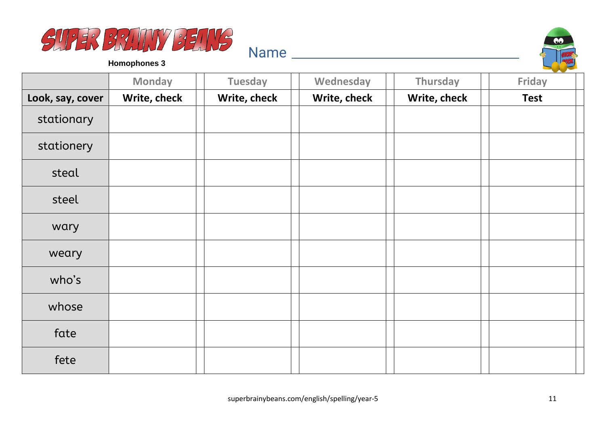



|                  | <b>Monday</b> | <b>Tuesday</b> | Wednesday    | Thursday     | Friday      |
|------------------|---------------|----------------|--------------|--------------|-------------|
| Look, say, cover | Write, check  | Write, check   | Write, check | Write, check | <b>Test</b> |
| stationary       |               |                |              |              |             |
| stationery       |               |                |              |              |             |
| steal            |               |                |              |              |             |
| steel            |               |                |              |              |             |
| wary             |               |                |              |              |             |
| weary            |               |                |              |              |             |
| who's            |               |                |              |              |             |
| whose            |               |                |              |              |             |
| fate             |               |                |              |              |             |
| fete             |               |                |              |              |             |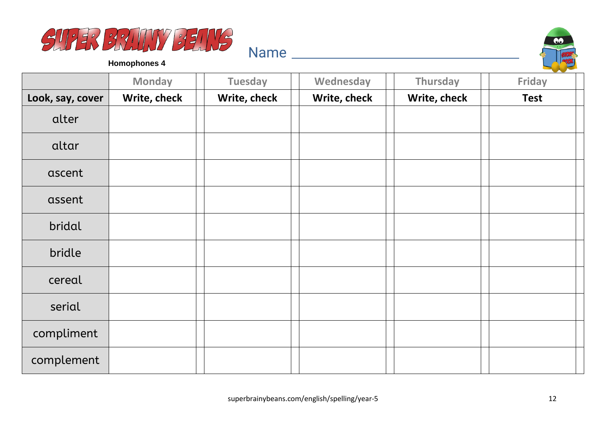



|                  | <b>Monday</b> | <b>Tuesday</b> | Wednesday    | Thursday     | Friday      |
|------------------|---------------|----------------|--------------|--------------|-------------|
| Look, say, cover | Write, check  | Write, check   | Write, check | Write, check | <b>Test</b> |
| alter            |               |                |              |              |             |
| altar            |               |                |              |              |             |
| ascent           |               |                |              |              |             |
| assent           |               |                |              |              |             |
| bridal           |               |                |              |              |             |
| bridle           |               |                |              |              |             |
| cereal           |               |                |              |              |             |
| serial           |               |                |              |              |             |
| compliment       |               |                |              |              |             |
| complement       |               |                |              |              |             |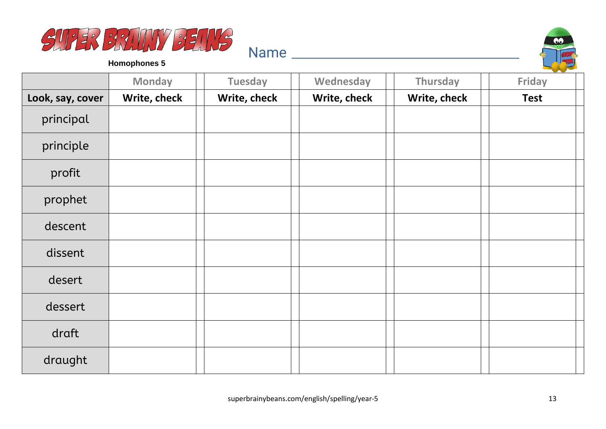



|                  | <b>Monday</b> | <b>Tuesday</b> | Wednesday    | Thursday     | Friday      |
|------------------|---------------|----------------|--------------|--------------|-------------|
| Look, say, cover | Write, check  | Write, check   | Write, check | Write, check | <b>Test</b> |
| principal        |               |                |              |              |             |
| principle        |               |                |              |              |             |
| profit           |               |                |              |              |             |
| prophet          |               |                |              |              |             |
| descent          |               |                |              |              |             |
| dissent          |               |                |              |              |             |
| desert           |               |                |              |              |             |
| dessert          |               |                |              |              |             |
| draft            |               |                |              |              |             |
| draught          |               |                |              |              |             |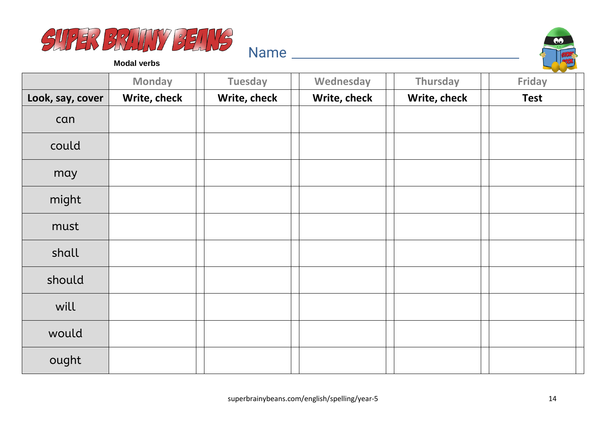



**Modal verbs**

|                  | <b>Monday</b> | <b>Tuesday</b> | Wednesday    | Thursday     | Friday      |
|------------------|---------------|----------------|--------------|--------------|-------------|
| Look, say, cover | Write, check  | Write, check   | Write, check | Write, check | <b>Test</b> |
| can              |               |                |              |              |             |
| could            |               |                |              |              |             |
| may              |               |                |              |              |             |
| might            |               |                |              |              |             |
| must             |               |                |              |              |             |
| shall            |               |                |              |              |             |
| should           |               |                |              |              |             |
| will             |               |                |              |              |             |
| would            |               |                |              |              |             |
| ought            |               |                |              |              |             |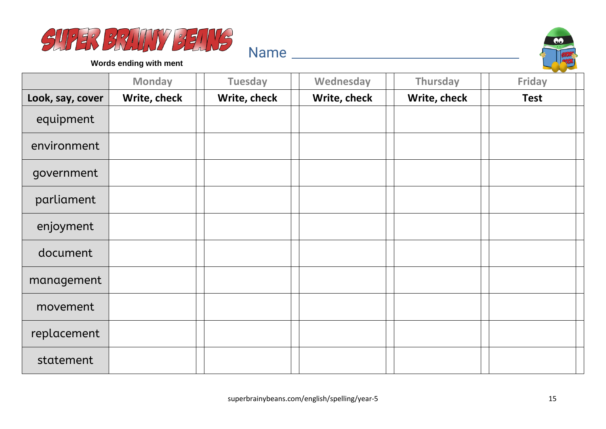



**Words ending with ment**

|                  | <b>Monday</b> | <b>Tuesday</b> | Wednesday    | Thursday     | Friday      |
|------------------|---------------|----------------|--------------|--------------|-------------|
| Look, say, cover | Write, check  | Write, check   | Write, check | Write, check | <b>Test</b> |
| equipment        |               |                |              |              |             |
| environment      |               |                |              |              |             |
| government       |               |                |              |              |             |
| parliament       |               |                |              |              |             |
| enjoyment        |               |                |              |              |             |
| document         |               |                |              |              |             |
| management       |               |                |              |              |             |
| movement         |               |                |              |              |             |
| replacement      |               |                |              |              |             |
| statement        |               |                |              |              |             |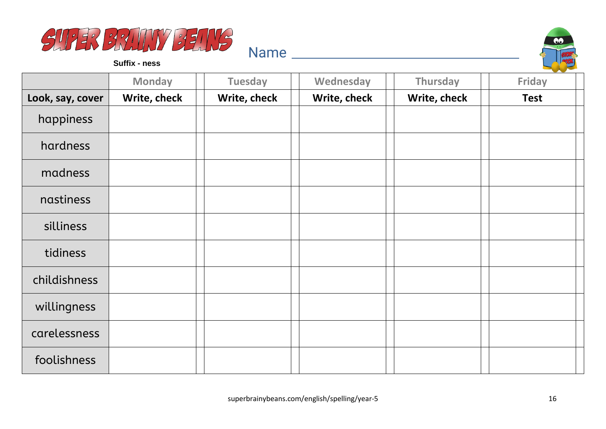



**Suffix - ness**

|                  | <b>Monday</b> | <b>Tuesday</b> | Wednesday    | Thursday     | <b>Friday</b> |
|------------------|---------------|----------------|--------------|--------------|---------------|
| Look, say, cover | Write, check  | Write, check   | Write, check | Write, check | <b>Test</b>   |
| happiness        |               |                |              |              |               |
| hardness         |               |                |              |              |               |
| madness          |               |                |              |              |               |
| nastiness        |               |                |              |              |               |
| silliness        |               |                |              |              |               |
| tidiness         |               |                |              |              |               |
| childishness     |               |                |              |              |               |
| willingness      |               |                |              |              |               |
| carelessness     |               |                |              |              |               |
| foolishness      |               |                |              |              |               |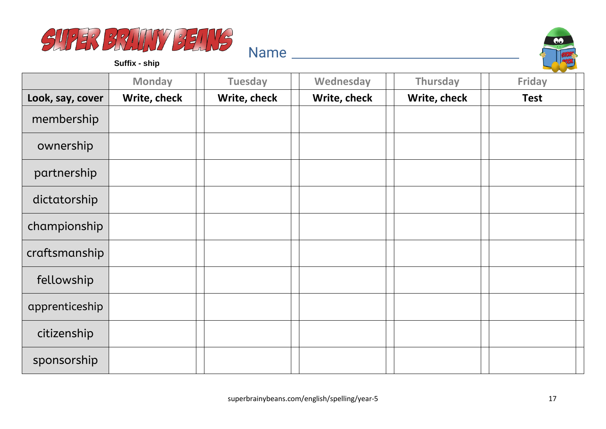



**Suffix - ship**

|                  | <b>Monday</b> | <b>Tuesday</b> | Wednesday    | Thursday     | <b>Friday</b> |
|------------------|---------------|----------------|--------------|--------------|---------------|
| Look, say, cover | Write, check  | Write, check   | Write, check | Write, check | <b>Test</b>   |
| membership       |               |                |              |              |               |
| ownership        |               |                |              |              |               |
| partnership      |               |                |              |              |               |
| dictatorship     |               |                |              |              |               |
| championship     |               |                |              |              |               |
| craftsmanship    |               |                |              |              |               |
| fellowship       |               |                |              |              |               |
| apprenticeship   |               |                |              |              |               |
| citizenship      |               |                |              |              |               |
| sponsorship      |               |                |              |              |               |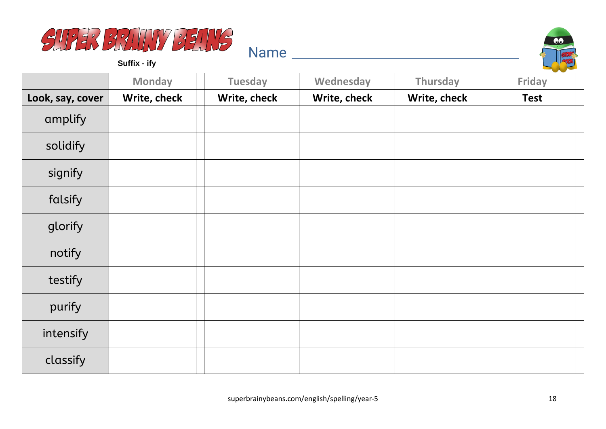



**Suffix - ify**

|                  | <b>Monday</b> | <b>Tuesday</b> | Wednesday    | Thursday     | <b>Friday</b> |
|------------------|---------------|----------------|--------------|--------------|---------------|
| Look, say, cover | Write, check  | Write, check   | Write, check | Write, check | <b>Test</b>   |
| amplify          |               |                |              |              |               |
| solidify         |               |                |              |              |               |
| signify          |               |                |              |              |               |
| falsify          |               |                |              |              |               |
| glorify          |               |                |              |              |               |
| notify           |               |                |              |              |               |
| testify          |               |                |              |              |               |
| purify           |               |                |              |              |               |
| intensify        |               |                |              |              |               |
| classify         |               |                |              |              |               |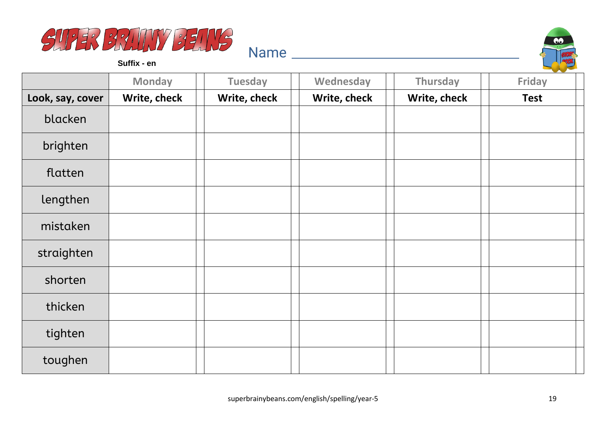



**Suffix - en**

|                  | <b>Monday</b> | <b>Tuesday</b> | Wednesday    | Thursday     | Friday      |
|------------------|---------------|----------------|--------------|--------------|-------------|
| Look, say, cover | Write, check  | Write, check   | Write, check | Write, check | <b>Test</b> |
| blacken          |               |                |              |              |             |
| brighten         |               |                |              |              |             |
| flatten          |               |                |              |              |             |
| lengthen         |               |                |              |              |             |
| mistaken         |               |                |              |              |             |
| straighten       |               |                |              |              |             |
| shorten          |               |                |              |              |             |
| thicken          |               |                |              |              |             |
| tighten          |               |                |              |              |             |
| toughen          |               |                |              |              |             |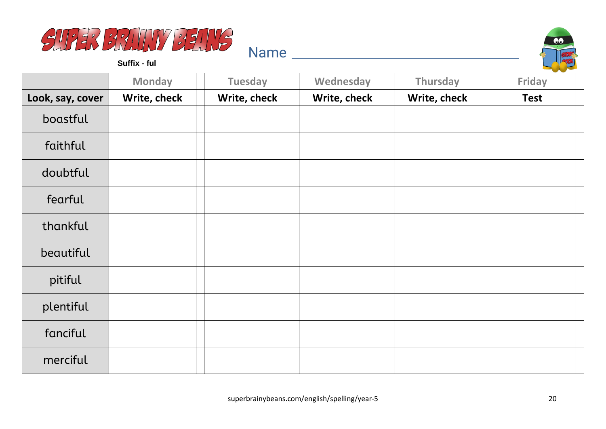



**Suffix - ful**

|                  | <b>Monday</b> | <b>Tuesday</b> | Wednesday    | Thursday     | Friday      |
|------------------|---------------|----------------|--------------|--------------|-------------|
| Look, say, cover | Write, check  | Write, check   | Write, check | Write, check | <b>Test</b> |
| boastful         |               |                |              |              |             |
| faithful         |               |                |              |              |             |
| doubtful         |               |                |              |              |             |
| fearful          |               |                |              |              |             |
| thankful         |               |                |              |              |             |
| beautiful        |               |                |              |              |             |
| pitiful          |               |                |              |              |             |
| plentiful        |               |                |              |              |             |
| fanciful         |               |                |              |              |             |
| merciful         |               |                |              |              |             |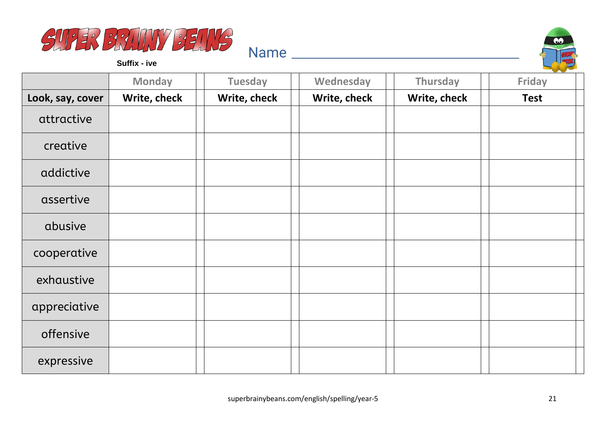



**Suffix - ive**

|                  | <b>Monday</b> | <b>Tuesday</b> | Wednesday    | Thursday     | <b>Friday</b> |
|------------------|---------------|----------------|--------------|--------------|---------------|
| Look, say, cover | Write, check  | Write, check   | Write, check | Write, check | <b>Test</b>   |
| attractive       |               |                |              |              |               |
| creative         |               |                |              |              |               |
| addictive        |               |                |              |              |               |
| assertive        |               |                |              |              |               |
| abusive          |               |                |              |              |               |
| cooperative      |               |                |              |              |               |
| exhaustive       |               |                |              |              |               |
| appreciative     |               |                |              |              |               |
| offensive        |               |                |              |              |               |
| expressive       |               |                |              |              |               |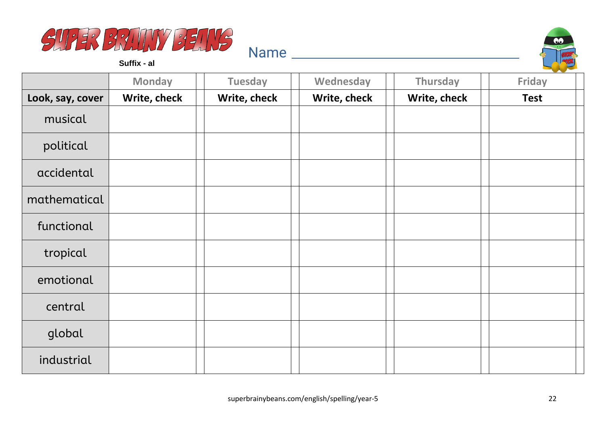



**Suffix - al**

|                  | <b>Monday</b> | <b>Tuesday</b> | Wednesday    | Thursday     | Friday      |
|------------------|---------------|----------------|--------------|--------------|-------------|
| Look, say, cover | Write, check  | Write, check   | Write, check | Write, check | <b>Test</b> |
| musical          |               |                |              |              |             |
| political        |               |                |              |              |             |
| accidental       |               |                |              |              |             |
| mathematical     |               |                |              |              |             |
| functional       |               |                |              |              |             |
| tropical         |               |                |              |              |             |
| emotional        |               |                |              |              |             |
| central          |               |                |              |              |             |
| global           |               |                |              |              |             |
| industrial       |               |                |              |              |             |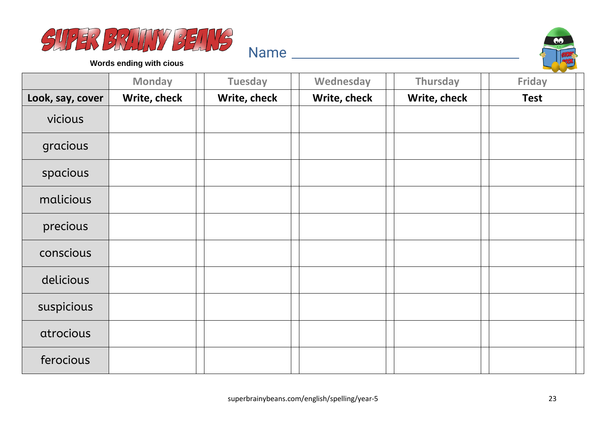



**Words ending with cious**

|                  | <b>Monday</b> | <b>Tuesday</b> | Wednesday    | Thursday     | Friday      |
|------------------|---------------|----------------|--------------|--------------|-------------|
| Look, say, cover | Write, check  | Write, check   | Write, check | Write, check | <b>Test</b> |
| vicious          |               |                |              |              |             |
| gracious         |               |                |              |              |             |
| spacious         |               |                |              |              |             |
| malicious        |               |                |              |              |             |
| precious         |               |                |              |              |             |
| conscious        |               |                |              |              |             |
| delicious        |               |                |              |              |             |
| suspicious       |               |                |              |              |             |
| atrocious        |               |                |              |              |             |
| ferocious        |               |                |              |              |             |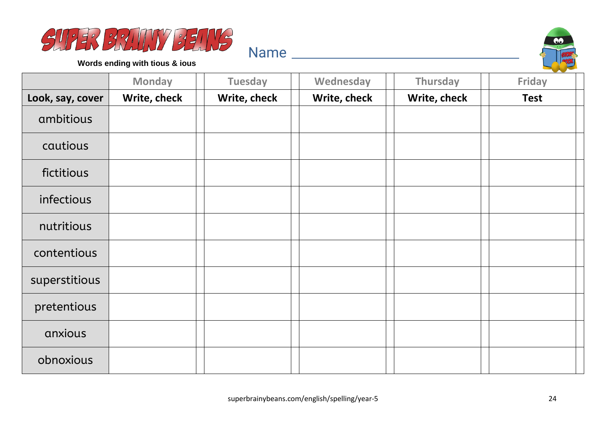



**Words ending with tious & ious**

|                  | <b>Monday</b> | <b>Tuesday</b> | Wednesday    | Thursday     | Friday      |
|------------------|---------------|----------------|--------------|--------------|-------------|
| Look, say, cover | Write, check  | Write, check   | Write, check | Write, check | <b>Test</b> |
| ambitious        |               |                |              |              |             |
| cautious         |               |                |              |              |             |
| fictitious       |               |                |              |              |             |
| infectious       |               |                |              |              |             |
| nutritious       |               |                |              |              |             |
| contentious      |               |                |              |              |             |
| superstitious    |               |                |              |              |             |
| pretentious      |               |                |              |              |             |
| anxious          |               |                |              |              |             |
| obnoxious        |               |                |              |              |             |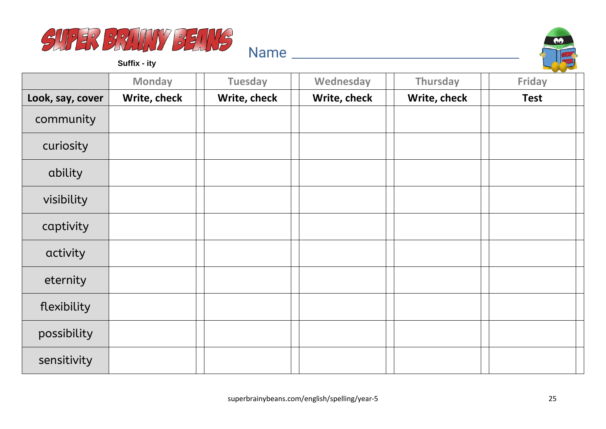



**Suffix - ity**

|                  | <b>Monday</b> | <b>Tuesday</b> | Wednesday    | Thursday     | <b>Friday</b> |
|------------------|---------------|----------------|--------------|--------------|---------------|
| Look, say, cover | Write, check  | Write, check   | Write, check | Write, check | <b>Test</b>   |
| community        |               |                |              |              |               |
| curiosity        |               |                |              |              |               |
| ability          |               |                |              |              |               |
| visibility       |               |                |              |              |               |
| captivity        |               |                |              |              |               |
| activity         |               |                |              |              |               |
| eternity         |               |                |              |              |               |
| flexibility      |               |                |              |              |               |
| possibility      |               |                |              |              |               |
| sensitivity      |               |                |              |              |               |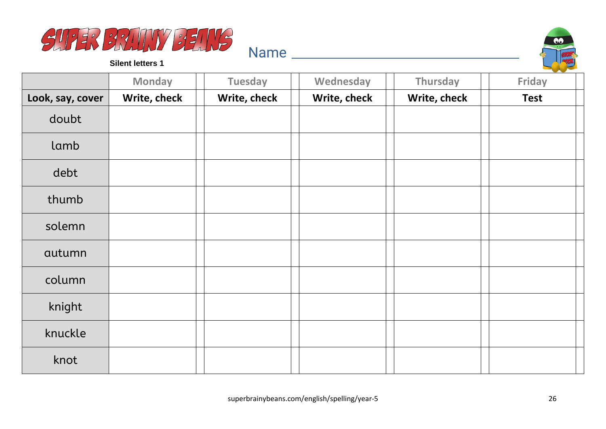



**Silent letters 1**

|                  | <b>Monday</b> | <b>Tuesday</b> | Wednesday    | Thursday     | <b>Friday</b> |
|------------------|---------------|----------------|--------------|--------------|---------------|
| Look, say, cover | Write, check  | Write, check   | Write, check | Write, check | <b>Test</b>   |
| doubt            |               |                |              |              |               |
| lamb             |               |                |              |              |               |
| debt             |               |                |              |              |               |
| thumb            |               |                |              |              |               |
| solemn           |               |                |              |              |               |
| autumn           |               |                |              |              |               |
| column           |               |                |              |              |               |
| knight           |               |                |              |              |               |
| knuckle          |               |                |              |              |               |
| knot             |               |                |              |              |               |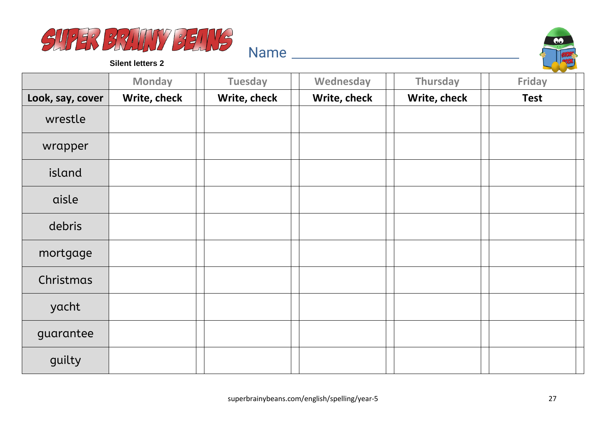



**Silent letters 2**

|                  | <b>Monday</b> | <b>Tuesday</b> | Wednesday    | Thursday     | Friday      |
|------------------|---------------|----------------|--------------|--------------|-------------|
| Look, say, cover | Write, check  | Write, check   | Write, check | Write, check | <b>Test</b> |
| wrestle          |               |                |              |              |             |
| wrapper          |               |                |              |              |             |
| island           |               |                |              |              |             |
| aisle            |               |                |              |              |             |
| debris           |               |                |              |              |             |
| mortgage         |               |                |              |              |             |
| Christmas        |               |                |              |              |             |
| yacht            |               |                |              |              |             |
| guarantee        |               |                |              |              |             |
| guilty           |               |                |              |              |             |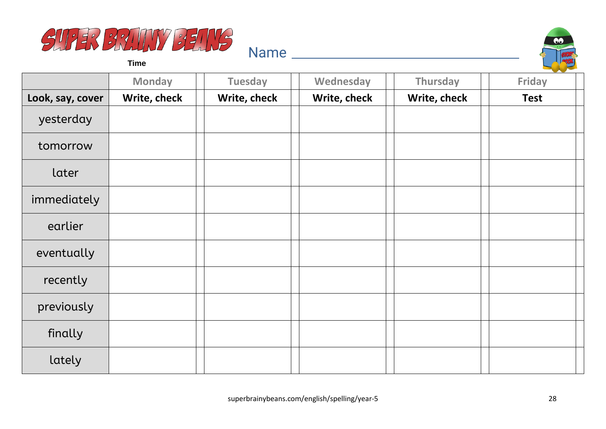



**Time**

|                  | <b>Monday</b> | <b>Tuesday</b> | Wednesday    | Thursday     | --<br>Friday |
|------------------|---------------|----------------|--------------|--------------|--------------|
| Look, say, cover | Write, check  | Write, check   | Write, check | Write, check | <b>Test</b>  |
| yesterday        |               |                |              |              |              |
| tomorrow         |               |                |              |              |              |
| later            |               |                |              |              |              |
| immediately      |               |                |              |              |              |
| earlier          |               |                |              |              |              |
| eventually       |               |                |              |              |              |
| recently         |               |                |              |              |              |
| previously       |               |                |              |              |              |
| finally          |               |                |              |              |              |
| lately           |               |                |              |              |              |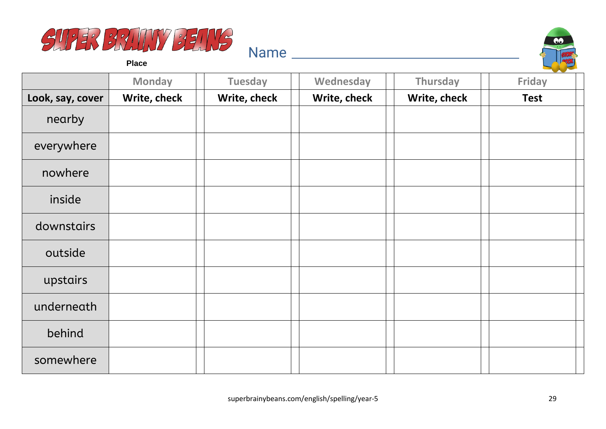



**Place**

|                  | <b>Monday</b> | <b>Tuesday</b> | Wednesday    | Thursday     | <b>Friday</b> |
|------------------|---------------|----------------|--------------|--------------|---------------|
| Look, say, cover | Write, check  | Write, check   | Write, check | Write, check | <b>Test</b>   |
| nearby           |               |                |              |              |               |
| everywhere       |               |                |              |              |               |
| nowhere          |               |                |              |              |               |
| inside           |               |                |              |              |               |
| downstairs       |               |                |              |              |               |
| outside          |               |                |              |              |               |
| upstairs         |               |                |              |              |               |
| underneath       |               |                |              |              |               |
| behind           |               |                |              |              |               |
| somewhere        |               |                |              |              |               |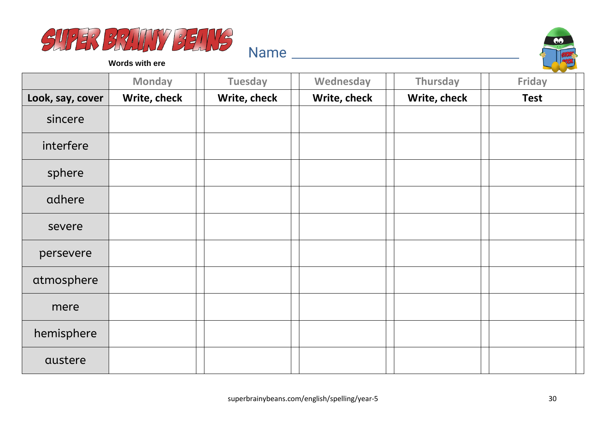



**Words with ere**

|                  | <b>Monday</b> | <b>Tuesday</b> | Wednesday    | Thursday     | <b>Friday</b> |
|------------------|---------------|----------------|--------------|--------------|---------------|
| Look, say, cover | Write, check  | Write, check   | Write, check | Write, check | <b>Test</b>   |
| sincere          |               |                |              |              |               |
| interfere        |               |                |              |              |               |
| sphere           |               |                |              |              |               |
| adhere           |               |                |              |              |               |
| severe           |               |                |              |              |               |
| persevere        |               |                |              |              |               |
| atmosphere       |               |                |              |              |               |
| mere             |               |                |              |              |               |
| hemisphere       |               |                |              |              |               |
| austere          |               |                |              |              |               |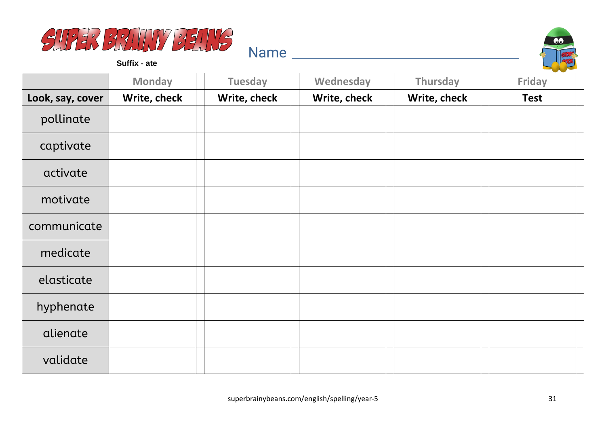



**Suffix - ate**

|                  | <b>Monday</b> | <b>Tuesday</b> | Wednesday    | Thursday     | Friday      |
|------------------|---------------|----------------|--------------|--------------|-------------|
| Look, say, cover | Write, check  | Write, check   | Write, check | Write, check | <b>Test</b> |
| pollinate        |               |                |              |              |             |
| captivate        |               |                |              |              |             |
| activate         |               |                |              |              |             |
| motivate         |               |                |              |              |             |
| communicate      |               |                |              |              |             |
| medicate         |               |                |              |              |             |
| elasticate       |               |                |              |              |             |
| hyphenate        |               |                |              |              |             |
| alienate         |               |                |              |              |             |
| validate         |               |                |              |              |             |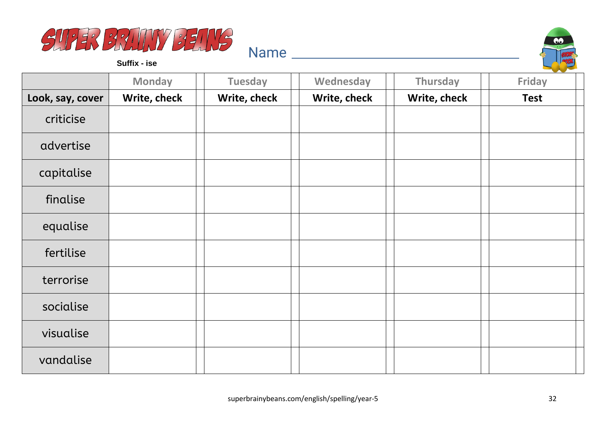



**Suffix - ise**

|                  | <b>Monday</b> | <b>Tuesday</b> | Wednesday    | Thursday     | Friday      |
|------------------|---------------|----------------|--------------|--------------|-------------|
| Look, say, cover | Write, check  | Write, check   | Write, check | Write, check | <b>Test</b> |
| criticise        |               |                |              |              |             |
| advertise        |               |                |              |              |             |
| capitalise       |               |                |              |              |             |
| finalise         |               |                |              |              |             |
| equalise         |               |                |              |              |             |
| fertilise        |               |                |              |              |             |
| terrorise        |               |                |              |              |             |
| socialise        |               |                |              |              |             |
| visualise        |               |                |              |              |             |
| vandalise        |               |                |              |              |             |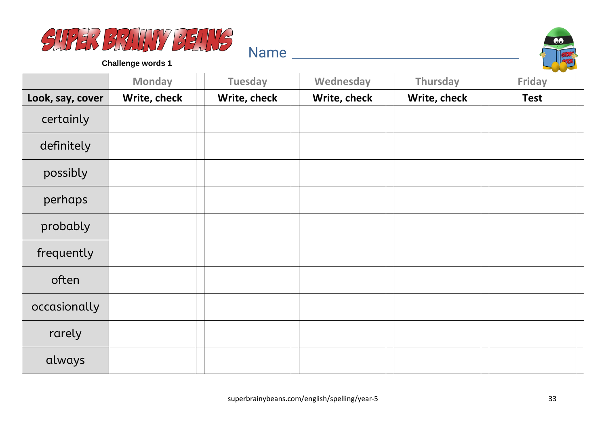



|                  | <b>Monday</b> | <b>Tuesday</b> | Wednesday    | Thursday     | <b>Contract Contract Contract</b><br><b>Friday</b> |
|------------------|---------------|----------------|--------------|--------------|----------------------------------------------------|
| Look, say, cover | Write, check  | Write, check   | Write, check | Write, check | <b>Test</b>                                        |
| certainly        |               |                |              |              |                                                    |
| definitely       |               |                |              |              |                                                    |
| possibly         |               |                |              |              |                                                    |
| perhaps          |               |                |              |              |                                                    |
| probably         |               |                |              |              |                                                    |
| frequently       |               |                |              |              |                                                    |
| often            |               |                |              |              |                                                    |
| occasionally     |               |                |              |              |                                                    |
| rarely           |               |                |              |              |                                                    |
| always           |               |                |              |              |                                                    |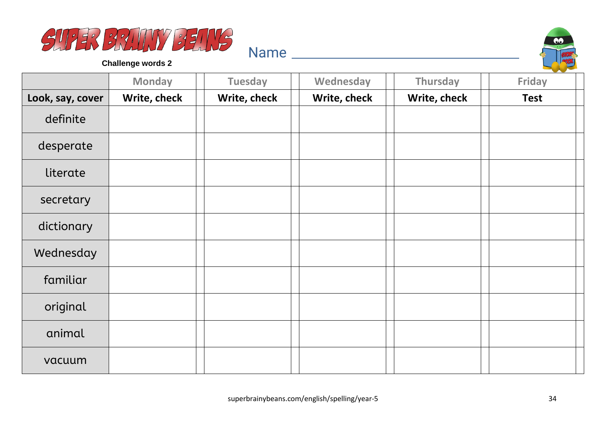



|                  | <b>Monday</b> | <b>Tuesday</b> | Wednesday    | Thursday     | --<br><b>Friday</b> |
|------------------|---------------|----------------|--------------|--------------|---------------------|
| Look, say, cover | Write, check  | Write, check   | Write, check | Write, check | <b>Test</b>         |
| definite         |               |                |              |              |                     |
| desperate        |               |                |              |              |                     |
| literate         |               |                |              |              |                     |
| secretary        |               |                |              |              |                     |
| dictionary       |               |                |              |              |                     |
| Wednesday        |               |                |              |              |                     |
| familiar         |               |                |              |              |                     |
| original         |               |                |              |              |                     |
| animal           |               |                |              |              |                     |
| vacuum           |               |                |              |              |                     |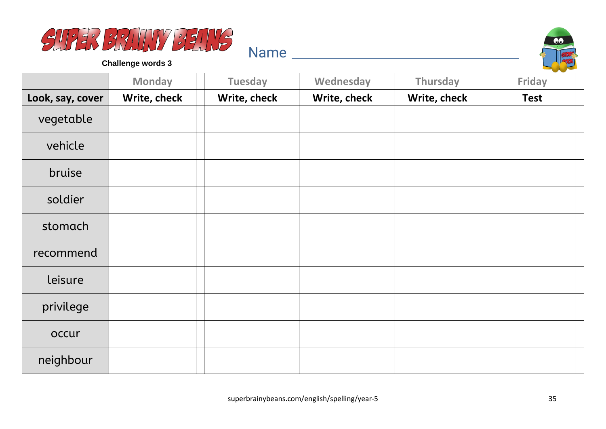



|                  | <b>Monday</b> | <b>Tuesday</b> | Wednesday    | Thursday     | $\sim$<br><b>Friday</b> |
|------------------|---------------|----------------|--------------|--------------|-------------------------|
| Look, say, cover | Write, check  | Write, check   | Write, check | Write, check | <b>Test</b>             |
| vegetable        |               |                |              |              |                         |
| vehicle          |               |                |              |              |                         |
| bruise           |               |                |              |              |                         |
| soldier          |               |                |              |              |                         |
| stomach          |               |                |              |              |                         |
| recommend        |               |                |              |              |                         |
| leisure          |               |                |              |              |                         |
| privilege        |               |                |              |              |                         |
| occur            |               |                |              |              |                         |
| neighbour        |               |                |              |              |                         |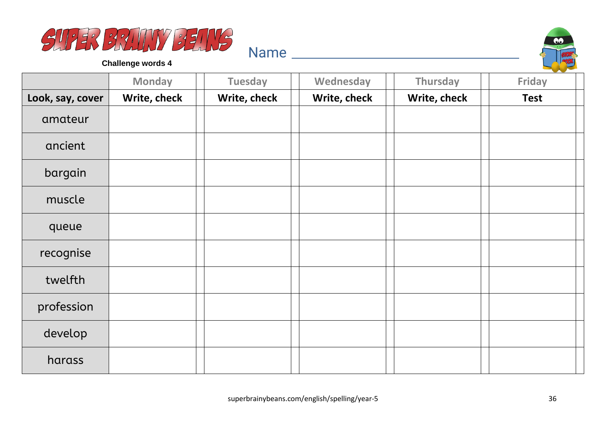



|                  | <b>Monday</b> | <b>Tuesday</b> | Wednesday    | Thursday     | Friday      |
|------------------|---------------|----------------|--------------|--------------|-------------|
| Look, say, cover | Write, check  | Write, check   | Write, check | Write, check | <b>Test</b> |
| amateur          |               |                |              |              |             |
| ancient          |               |                |              |              |             |
| bargain          |               |                |              |              |             |
| muscle           |               |                |              |              |             |
| queue            |               |                |              |              |             |
| recognise        |               |                |              |              |             |
| twelfth          |               |                |              |              |             |
| profession       |               |                |              |              |             |
| develop          |               |                |              |              |             |
| harass           |               |                |              |              |             |